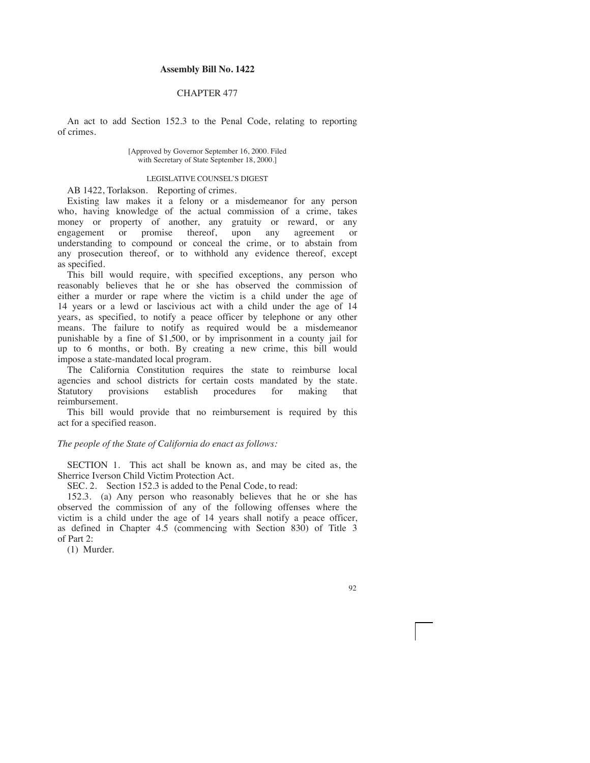## **Assembly Bill No. 1422**

## CHAPTER 477

An act to add Section 152.3 to the Penal Code, relating to reporting of crimes.

> [Approved by Governor September 16, 2000. Filed with Secretary of State September 18, 2000.]

## LEGISLATIVE COUNSEL'S DIGEST

AB 1422, Torlakson. Reporting of crimes.

Existing law makes it a felony or a misdemeanor for any person who, having knowledge of the actual commission of a crime, takes money or property of another, any gratuity or reward, or any engagement or promise thereof, upon any agreement or understanding to compound or conceal the crime, or to abstain from any prosecution thereof, or to withhold any evidence thereof, except as specified.

This bill would require, with specified exceptions, any person who reasonably believes that he or she has observed the commission of either a murder or rape where the victim is a child under the age of 14 years or a lewd or lascivious act with a child under the age of 14 years, as specified, to notify a peace officer by telephone or any other means. The failure to notify as required would be a misdemeanor punishable by a fine of \$1,500, or by imprisonment in a county jail for up to 6 months, or both. By creating a new crime, this bill would impose a state-mandated local program.

The California Constitution requires the state to reimburse local agencies and school districts for certain costs mandated by the state. Statutory provisions establish procedures for making that reimbursement.

This bill would provide that no reimbursement is required by this act for a specified reason.

## *The people of the State of California do enact as follows:*

SECTION 1. This act shall be known as, and may be cited as, the Sherrice Iverson Child Victim Protection Act.

SEC. 2. Section 152.3 is added to the Penal Code, to read:

152.3. (a) Any person who reasonably believes that he or she has observed the commission of any of the following offenses where the victim is a child under the age of 14 years shall notify a peace officer, as defined in Chapter 4.5 (commencing with Section 830) of Title 3 of Part 2:

(1) Murder.

92